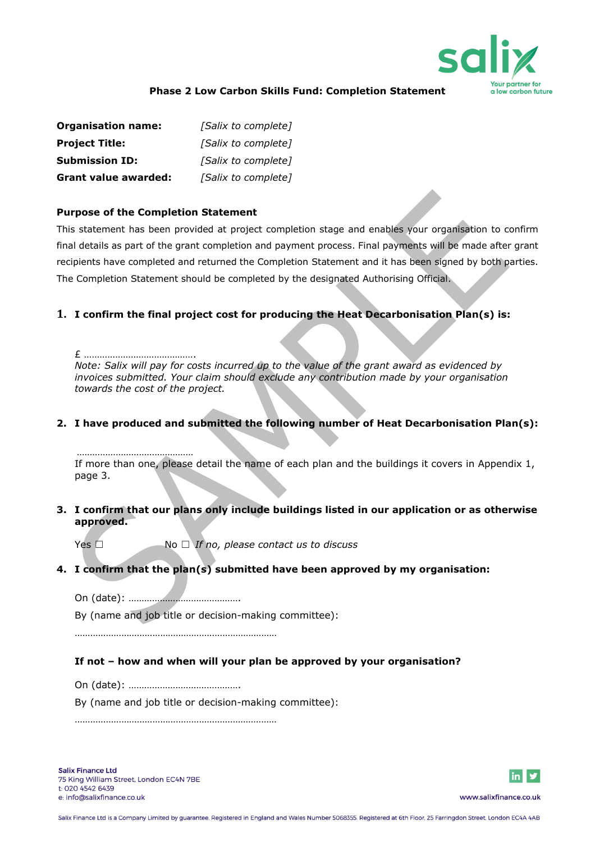

#### **Phase 2 Low Carbon Skills Fund: Completion Statement**

| <b>Organisation name:</b>   | [Salix to complete] |
|-----------------------------|---------------------|
| <b>Project Title:</b>       | [Salix to complete] |
| <b>Submission ID:</b>       | [Salix to complete] |
| <b>Grant value awarded:</b> | [Salix to complete] |

#### **Purpose of the Completion Statement**

This statement has been provided at project completion stage and enables your organisation to confirm final details as part of the grant completion and payment process. Final payments will be made after grant recipients have completed and returned the Completion Statement and it has been signed by both parties. The Completion Statement should be completed by the designated Authorising Official.

#### **1. I confirm the final project cost for producing the Heat Decarbonisation Plan(s) is:**

£ …………………………………….

*Note: Salix will pay for costs incurred up to the value of the grant award as evidenced by invoices submitted. Your claim should exclude any contribution made by your organisation towards the cost of the project.*

#### **2. I have produced and submitted the following number of Heat Decarbonisation Plan(s):**

……………………………………… If more than one, please detail the name of each plan and the buildings it covers in Appendix 1, page 3.

**3. I confirm that our plans only include buildings listed in our application or as otherwise approved.**

Yes ☐ No ☐ *If no, please contact us to discuss*

# **4. I confirm that the plan(s) submitted have been approved by my organisation:**

On (date): …………………………………….

By (name and job title or decision-making committee):

……………………………………………………………………

# **If not – how and when will your plan be approved by your organisation?**

On (date): …………………………………….

By (name and job title or decision-making committee):

……………………………………………………………………

**Salix Finance Ltd** 75 King William Street, London EC4N 7BE t: 020 4542 6439 e: info@salixfinance.co.uk

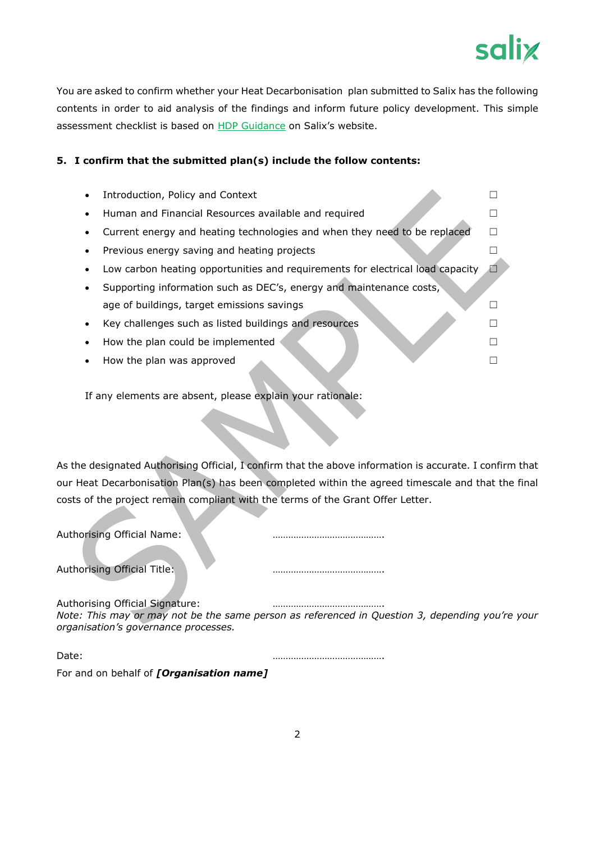

You are asked to confirm whether your Heat Decarbonisation plan submitted to Salix has the following contents in order to aid analysis of the findings and inform future policy development. This simple assessment checklist is based on **HDP Guidance** on Salix's website.

# **5. I confirm that the submitted plan(s) include the follow contents:**

|           | Introduction, Policy and Context                                               |  |
|-----------|--------------------------------------------------------------------------------|--|
|           | Human and Financial Resources available and required                           |  |
|           | Current energy and heating technologies and when they need to be replaced      |  |
| $\bullet$ | Previous energy saving and heating projects                                    |  |
|           | Low carbon heating opportunities and requirements for electrical load capacity |  |
|           | Supporting information such as DEC's, energy and maintenance costs,            |  |
|           | age of buildings, target emissions savings                                     |  |
|           | Key challenges such as listed buildings and resources                          |  |
|           | How the plan could be implemented                                              |  |
| $\bullet$ | How the plan was approved                                                      |  |

If any elements are absent, please explain your rationale:

As the designated Authorising Official, I confirm that the above information is accurate. I confirm that our Heat Decarbonisation Plan(s) has been completed within the agreed timescale and that the final costs of the project remain compliant with the terms of the Grant Offer Letter.

| Authorising Official Name:                                              |                                                                                                 |  |
|-------------------------------------------------------------------------|-------------------------------------------------------------------------------------------------|--|
| Authorising Official Title:                                             |                                                                                                 |  |
| Authorising Official Signature:<br>organisation's governance processes. | Note: This may or may not be the same person as referenced in Question 3, depending you're your |  |
| Date:                                                                   |                                                                                                 |  |
| For and on behalf of <i>[Organisation name]</i>                         |                                                                                                 |  |